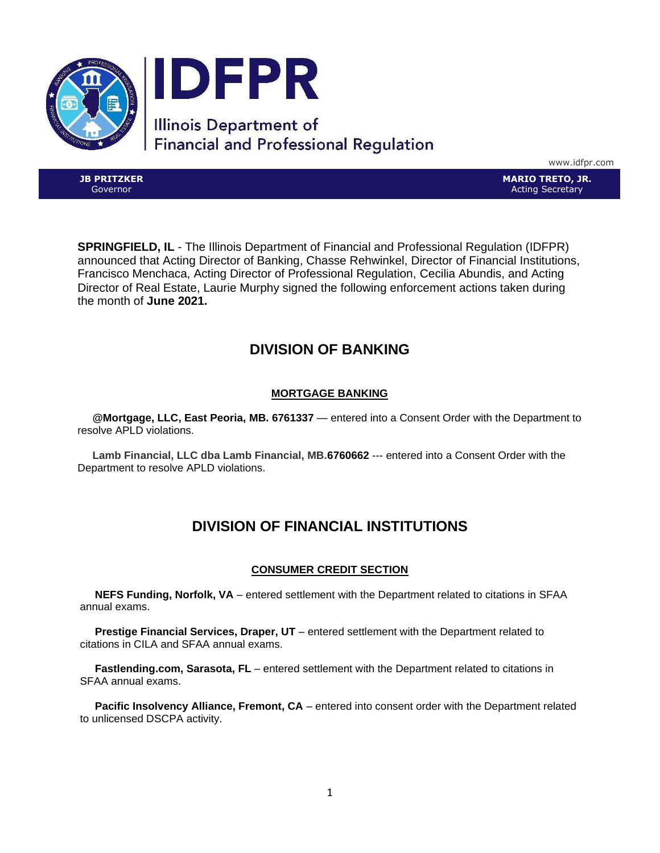

www.idfpr.com

**JB PRITZKER** Governor

**MARIO TRETO, JR.** Acting Secretary

**SPRINGFIELD, IL** - The Illinois Department of Financial and Professional Regulation (IDFPR) announced that Acting Director of Banking, Chasse Rehwinkel, Director of Financial Institutions, Francisco Menchaca, Acting Director of Professional Regulation, Cecilia Abundis, and Acting Director of Real Estate, Laurie Murphy signed the following enforcement actions taken during the month of **June 2021.**

# **DIVISION OF BANKING**

# **MORTGAGE BANKING**

 **@Mortgage, LLC, East Peoria, MB. 6761337** — entered into a Consent Order with the Department to resolve APLD violations.

 **Lamb Financial, LLC dba Lamb Financial, MB.6760662** --- entered into a Consent Order with the Department to resolve APLD violations.

# **DIVISION OF FINANCIAL INSTITUTIONS**

## **CONSUMER CREDIT SECTION**

 **NEFS Funding, Norfolk, VA** – entered settlement with the Department related to citations in SFAA annual exams.

 **Prestige Financial Services, Draper, UT** – entered settlement with the Department related to citations in CILA and SFAA annual exams.

 **Fastlending.com, Sarasota, FL** – entered settlement with the Department related to citations in SFAA annual exams.

**Pacific Insolvency Alliance, Fremont, CA** – entered into consent order with the Department related to unlicensed DSCPA activity.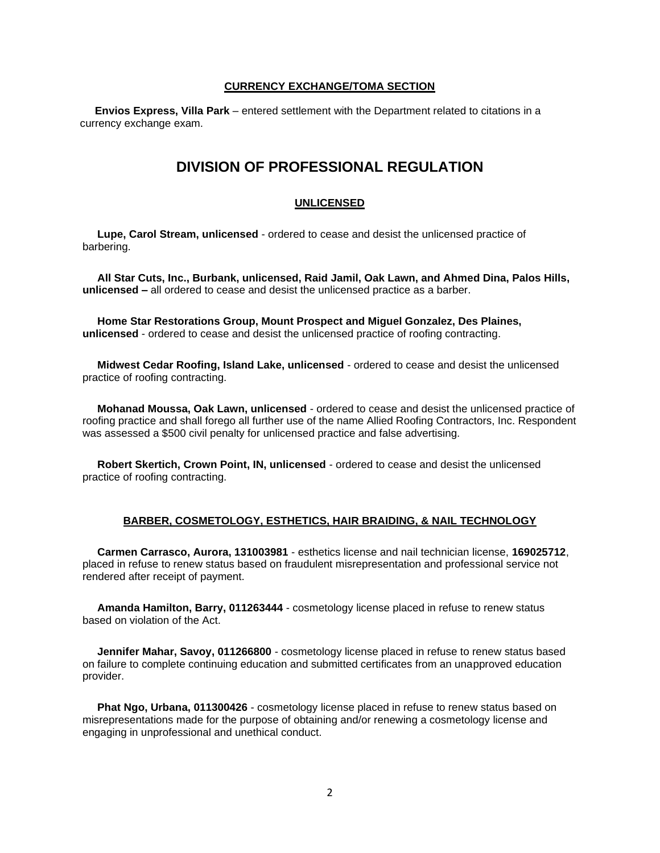#### **CURRENCY EXCHANGE/TOMA SECTION**

 **Envios Express, Villa Park** – entered settlement with the Department related to citations in a currency exchange exam.

# **DIVISION OF PROFESSIONAL REGULATION**

## **UNLICENSED**

 **Lupe, Carol Stream, unlicensed** - ordered to cease and desist the unlicensed practice of barbering.

 **All Star Cuts, Inc., Burbank, unlicensed, Raid Jamil, Oak Lawn, and Ahmed Dina, Palos Hills, unlicensed –** all ordered to cease and desist the unlicensed practice as a barber.

 **Home Star Restorations Group, Mount Prospect and Miguel Gonzalez, Des Plaines, unlicensed** - ordered to cease and desist the unlicensed practice of roofing contracting.

 **Midwest Cedar Roofing, Island Lake, unlicensed** - ordered to cease and desist the unlicensed practice of roofing contracting.

 **Mohanad Moussa, Oak Lawn, unlicensed** - ordered to cease and desist the unlicensed practice of roofing practice and shall forego all further use of the name Allied Roofing Contractors, Inc. Respondent was assessed a \$500 civil penalty for unlicensed practice and false advertising.

 **Robert Skertich, Crown Point, IN, unlicensed** - ordered to cease and desist the unlicensed practice of roofing contracting.

#### **BARBER, COSMETOLOGY, ESTHETICS, HAIR BRAIDING, & NAIL TECHNOLOGY**

 **Carmen Carrasco, Aurora, 131003981** - esthetics license and nail technician license, **169025712**, placed in refuse to renew status based on fraudulent misrepresentation and professional service not rendered after receipt of payment.

 **Amanda Hamilton, Barry, 011263444** - cosmetology license placed in refuse to renew status based on violation of the Act.

 **Jennifer Mahar, Savoy, 011266800** - cosmetology license placed in refuse to renew status based on failure to complete continuing education and submitted certificates from an unapproved education provider.

 **Phat Ngo, Urbana, 011300426** - cosmetology license placed in refuse to renew status based on misrepresentations made for the purpose of obtaining and/or renewing a cosmetology license and engaging in unprofessional and unethical conduct.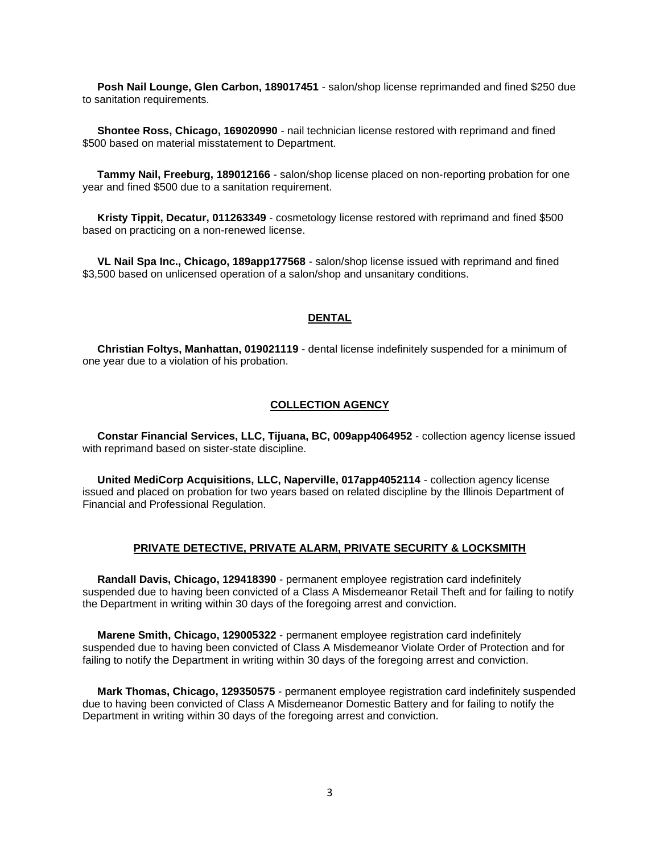**Posh Nail Lounge, Glen Carbon, 189017451** - salon/shop license reprimanded and fined \$250 due to sanitation requirements.

 **Shontee Ross, Chicago, 169020990** - nail technician license restored with reprimand and fined \$500 based on material misstatement to Department.

 **Tammy Nail, Freeburg, 189012166** - salon/shop license placed on non-reporting probation for one year and fined \$500 due to a sanitation requirement.

 **Kristy Tippit, Decatur, 011263349** - cosmetology license restored with reprimand and fined \$500 based on practicing on a non-renewed license.

 **VL Nail Spa Inc., Chicago, 189app177568** - salon/shop license issued with reprimand and fined \$3,500 based on unlicensed operation of a salon/shop and unsanitary conditions.

#### **DENTAL**

 **Christian Foltys, Manhattan, 019021119** - dental license indefinitely suspended for a minimum of one year due to a violation of his probation.

### **COLLECTION AGENCY**

 **Constar Financial Services, LLC, Tijuana, BC, 009app4064952** - collection agency license issued with reprimand based on sister-state discipline.

 **United MediCorp Acquisitions, LLC, Naperville, 017app4052114** - collection agency license issued and placed on probation for two years based on related discipline by the Illinois Department of Financial and Professional Regulation.

#### **PRIVATE DETECTIVE, PRIVATE ALARM, PRIVATE SECURITY & LOCKSMITH**

 **Randall Davis, Chicago, 129418390** - permanent employee registration card indefinitely suspended due to having been convicted of a Class A Misdemeanor Retail Theft and for failing to notify the Department in writing within 30 days of the foregoing arrest and conviction.

 **Marene Smith, Chicago, 129005322** - permanent employee registration card indefinitely suspended due to having been convicted of Class A Misdemeanor Violate Order of Protection and for failing to notify the Department in writing within 30 days of the foregoing arrest and conviction.

 **Mark Thomas, Chicago, 129350575** - permanent employee registration card indefinitely suspended due to having been convicted of Class A Misdemeanor Domestic Battery and for failing to notify the Department in writing within 30 days of the foregoing arrest and conviction.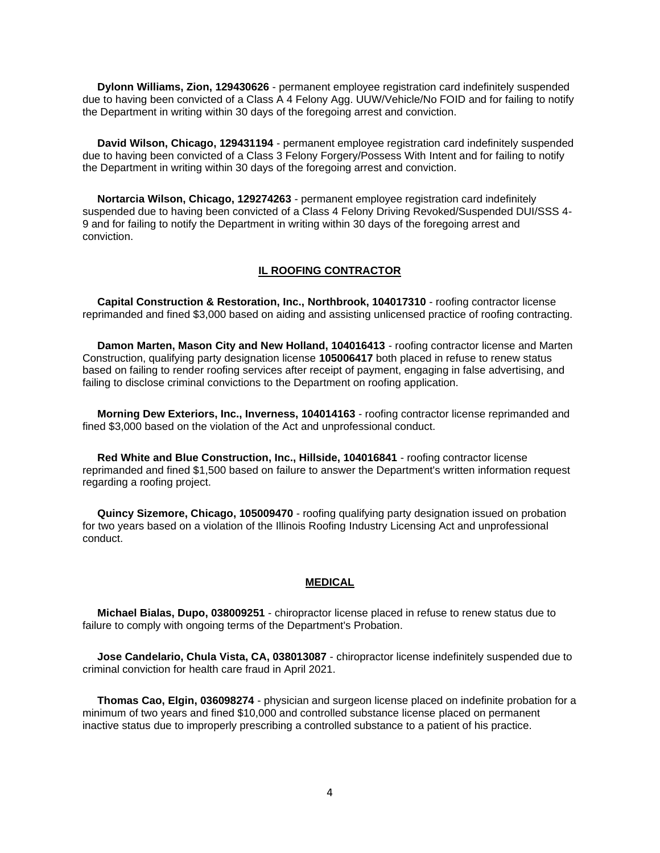**Dylonn Williams, Zion, 129430626** - permanent employee registration card indefinitely suspended due to having been convicted of a Class A 4 Felony Agg. UUW/Vehicle/No FOID and for failing to notify the Department in writing within 30 days of the foregoing arrest and conviction.

 **David Wilson, Chicago, 129431194** - permanent employee registration card indefinitely suspended due to having been convicted of a Class 3 Felony Forgery/Possess With Intent and for failing to notify the Department in writing within 30 days of the foregoing arrest and conviction.

 **Nortarcia Wilson, Chicago, 129274263** - permanent employee registration card indefinitely suspended due to having been convicted of a Class 4 Felony Driving Revoked/Suspended DUI/SSS 4- 9 and for failing to notify the Department in writing within 30 days of the foregoing arrest and conviction.

#### **IL ROOFING CONTRACTOR**

 **Capital Construction & Restoration, Inc., Northbrook, 104017310** - roofing contractor license reprimanded and fined \$3,000 based on aiding and assisting unlicensed practice of roofing contracting.

 **Damon Marten, Mason City and New Holland, 104016413** - roofing contractor license and Marten Construction, qualifying party designation license **105006417** both placed in refuse to renew status based on failing to render roofing services after receipt of payment, engaging in false advertising, and failing to disclose criminal convictions to the Department on roofing application.

 **Morning Dew Exteriors, Inc., Inverness, 104014163** - roofing contractor license reprimanded and fined \$3,000 based on the violation of the Act and unprofessional conduct.

 **Red White and Blue Construction, Inc., Hillside, 104016841** - roofing contractor license reprimanded and fined \$1,500 based on failure to answer the Department's written information request regarding a roofing project.

 **Quincy Sizemore, Chicago, 105009470** - roofing qualifying party designation issued on probation for two years based on a violation of the Illinois Roofing Industry Licensing Act and unprofessional conduct.

#### **MEDICAL**

 **Michael Bialas, Dupo, 038009251** - chiropractor license placed in refuse to renew status due to failure to comply with ongoing terms of the Department's Probation.

 **Jose Candelario, Chula Vista, CA, 038013087** - chiropractor license indefinitely suspended due to criminal conviction for health care fraud in April 2021.

 **Thomas Cao, Elgin, 036098274** - physician and surgeon license placed on indefinite probation for a minimum of two years and fined \$10,000 and controlled substance license placed on permanent inactive status due to improperly prescribing a controlled substance to a patient of his practice.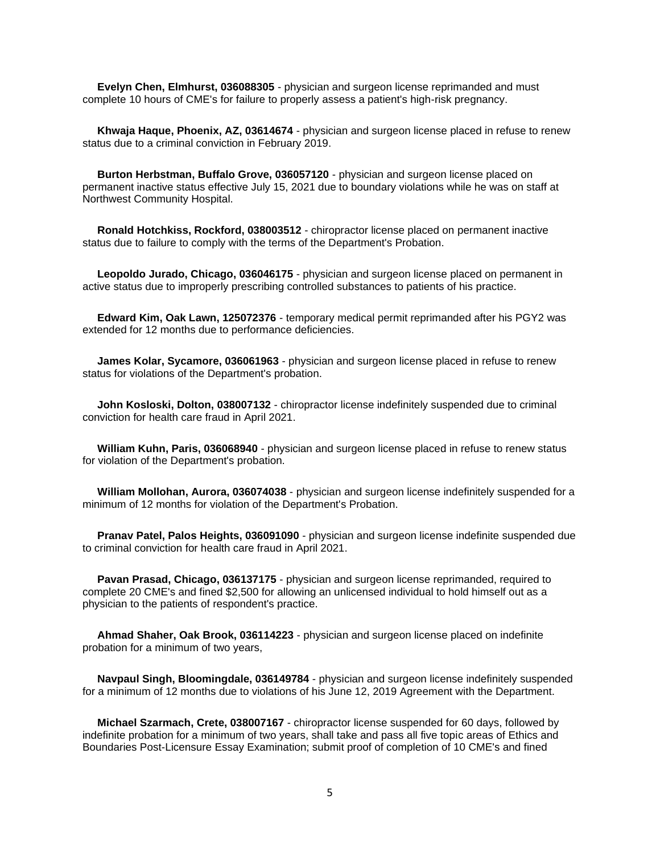**Evelyn Chen, Elmhurst, 036088305** - physician and surgeon license reprimanded and must complete 10 hours of CME's for failure to properly assess a patient's high-risk pregnancy.

 **Khwaja Haque, Phoenix, AZ, 03614674** - physician and surgeon license placed in refuse to renew status due to a criminal conviction in February 2019.

 **Burton Herbstman, Buffalo Grove, 036057120** - physician and surgeon license placed on permanent inactive status effective July 15, 2021 due to boundary violations while he was on staff at Northwest Community Hospital.

 **Ronald Hotchkiss, Rockford, 038003512** - chiropractor license placed on permanent inactive status due to failure to comply with the terms of the Department's Probation.

 **Leopoldo Jurado, Chicago, 036046175** - physician and surgeon license placed on permanent in active status due to improperly prescribing controlled substances to patients of his practice.

 **Edward Kim, Oak Lawn, 125072376** - temporary medical permit reprimanded after his PGY2 was extended for 12 months due to performance deficiencies.

 **James Kolar, Sycamore, 036061963** - physician and surgeon license placed in refuse to renew status for violations of the Department's probation.

 **John Kosloski, Dolton, 038007132** - chiropractor license indefinitely suspended due to criminal conviction for health care fraud in April 2021.

 **William Kuhn, Paris, 036068940** - physician and surgeon license placed in refuse to renew status for violation of the Department's probation.

 **William Mollohan, Aurora, 036074038** - physician and surgeon license indefinitely suspended for a minimum of 12 months for violation of the Department's Probation.

 **Pranav Patel, Palos Heights, 036091090** - physician and surgeon license indefinite suspended due to criminal conviction for health care fraud in April 2021.

 **Pavan Prasad, Chicago, 036137175** - physician and surgeon license reprimanded, required to complete 20 CME's and fined \$2,500 for allowing an unlicensed individual to hold himself out as a physician to the patients of respondent's practice.

 **Ahmad Shaher, Oak Brook, 036114223** - physician and surgeon license placed on indefinite probation for a minimum of two years,

 **Navpaul Singh, Bloomingdale, 036149784** - physician and surgeon license indefinitely suspended for a minimum of 12 months due to violations of his June 12, 2019 Agreement with the Department.

 **Michael Szarmach, Crete, 038007167** - chiropractor license suspended for 60 days, followed by indefinite probation for a minimum of two years, shall take and pass all five topic areas of Ethics and Boundaries Post-Licensure Essay Examination; submit proof of completion of 10 CME's and fined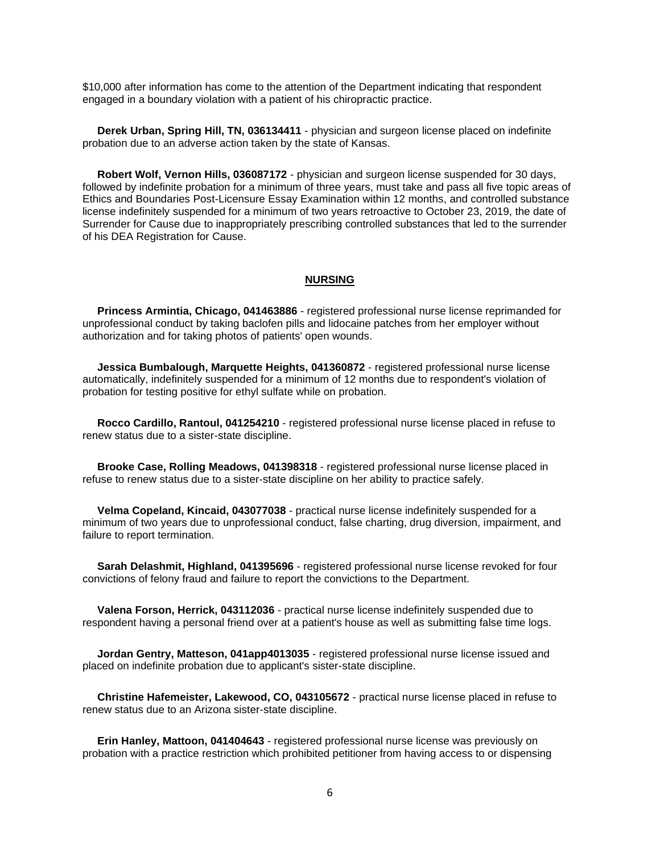\$10,000 after information has come to the attention of the Department indicating that respondent engaged in a boundary violation with a patient of his chiropractic practice.

 **Derek Urban, Spring Hill, TN, 036134411** - physician and surgeon license placed on indefinite probation due to an adverse action taken by the state of Kansas.

 **Robert Wolf, Vernon Hills, 036087172** - physician and surgeon license suspended for 30 days, followed by indefinite probation for a minimum of three years, must take and pass all five topic areas of Ethics and Boundaries Post-Licensure Essay Examination within 12 months, and controlled substance license indefinitely suspended for a minimum of two years retroactive to October 23, 2019, the date of Surrender for Cause due to inappropriately prescribing controlled substances that led to the surrender of his DEA Registration for Cause.

#### **NURSING**

 **Princess Armintia, Chicago, 041463886** - registered professional nurse license reprimanded for unprofessional conduct by taking baclofen pills and lidocaine patches from her employer without authorization and for taking photos of patients' open wounds.

 **Jessica Bumbalough, Marquette Heights, 041360872** - registered professional nurse license automatically, indefinitely suspended for a minimum of 12 months due to respondent's violation of probation for testing positive for ethyl sulfate while on probation.

 **Rocco Cardillo, Rantoul, 041254210** - registered professional nurse license placed in refuse to renew status due to a sister-state discipline.

 **Brooke Case, Rolling Meadows, 041398318** - registered professional nurse license placed in refuse to renew status due to a sister-state discipline on her ability to practice safely.

 **Velma Copeland, Kincaid, 043077038** - practical nurse license indefinitely suspended for a minimum of two years due to unprofessional conduct, false charting, drug diversion, impairment, and failure to report termination.

 **Sarah Delashmit, Highland, 041395696** - registered professional nurse license revoked for four convictions of felony fraud and failure to report the convictions to the Department.

 **Valena Forson, Herrick, 043112036** - practical nurse license indefinitely suspended due to respondent having a personal friend over at a patient's house as well as submitting false time logs.

**Jordan Gentry, Matteson, 041app4013035** - registered professional nurse license issued and placed on indefinite probation due to applicant's sister-state discipline.

 **Christine Hafemeister, Lakewood, CO, 043105672** - practical nurse license placed in refuse to renew status due to an Arizona sister-state discipline.

 **Erin Hanley, Mattoon, 041404643** - registered professional nurse license was previously on probation with a practice restriction which prohibited petitioner from having access to or dispensing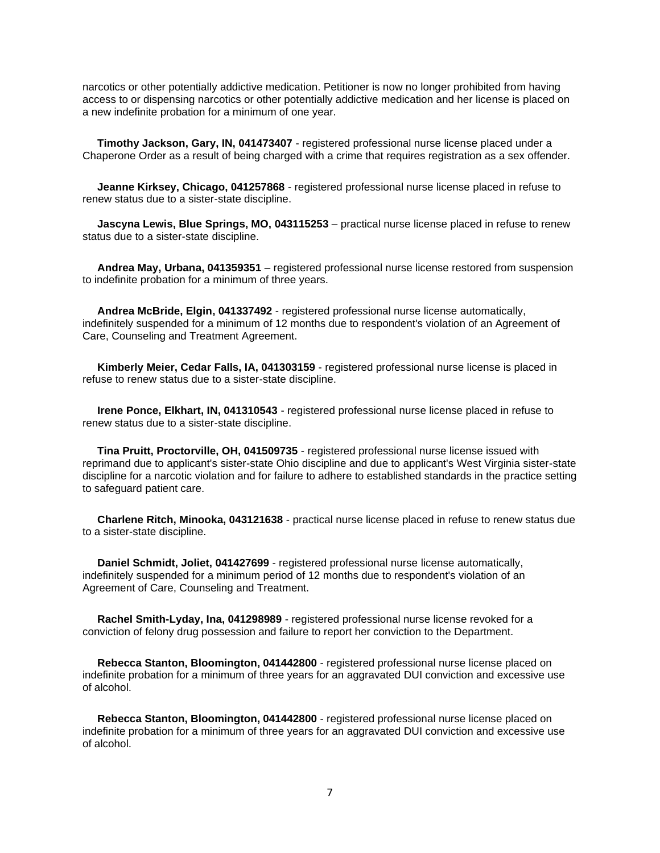narcotics or other potentially addictive medication. Petitioner is now no longer prohibited from having access to or dispensing narcotics or other potentially addictive medication and her license is placed on a new indefinite probation for a minimum of one year.

 **Timothy Jackson, Gary, IN, 041473407** - registered professional nurse license placed under a Chaperone Order as a result of being charged with a crime that requires registration as a sex offender.

 **Jeanne Kirksey, Chicago, 041257868** - registered professional nurse license placed in refuse to renew status due to a sister-state discipline.

 **Jascyna Lewis, Blue Springs, MO, 043115253** – practical nurse license placed in refuse to renew status due to a sister-state discipline.

 **Andrea May, Urbana, 041359351** – registered professional nurse license restored from suspension to indefinite probation for a minimum of three years.

 **Andrea McBride, Elgin, 041337492** - registered professional nurse license automatically, indefinitely suspended for a minimum of 12 months due to respondent's violation of an Agreement of Care, Counseling and Treatment Agreement.

 **Kimberly Meier, Cedar Falls, IA, 041303159** - registered professional nurse license is placed in refuse to renew status due to a sister-state discipline.

 **Irene Ponce, Elkhart, IN, 041310543** - registered professional nurse license placed in refuse to renew status due to a sister-state discipline.

 **Tina Pruitt, Proctorville, OH, 041509735** - registered professional nurse license issued with reprimand due to applicant's sister-state Ohio discipline and due to applicant's West Virginia sister-state discipline for a narcotic violation and for failure to adhere to established standards in the practice setting to safeguard patient care.

 **Charlene Ritch, Minooka, 043121638** - practical nurse license placed in refuse to renew status due to a sister-state discipline.

 **Daniel Schmidt, Joliet, 041427699** - registered professional nurse license automatically, indefinitely suspended for a minimum period of 12 months due to respondent's violation of an Agreement of Care, Counseling and Treatment.

 **Rachel Smith-Lyday, Ina, 041298989** - registered professional nurse license revoked for a conviction of felony drug possession and failure to report her conviction to the Department.

 **Rebecca Stanton, Bloomington, 041442800** - registered professional nurse license placed on indefinite probation for a minimum of three years for an aggravated DUI conviction and excessive use of alcohol.

 **Rebecca Stanton, Bloomington, 041442800** - registered professional nurse license placed on indefinite probation for a minimum of three years for an aggravated DUI conviction and excessive use of alcohol.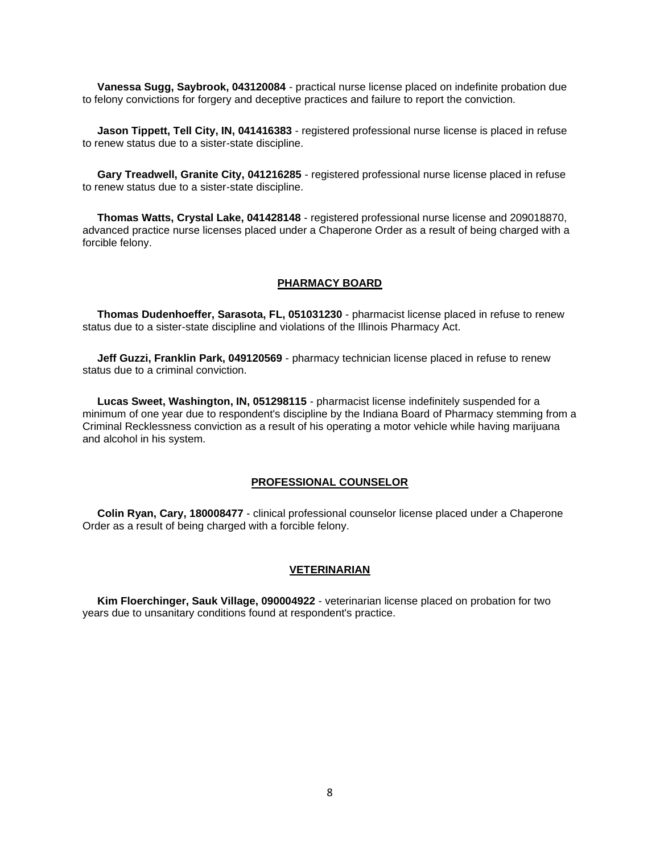**Vanessa Sugg, Saybrook, 043120084** - practical nurse license placed on indefinite probation due to felony convictions for forgery and deceptive practices and failure to report the conviction.

 **Jason Tippett, Tell City, IN, 041416383** - registered professional nurse license is placed in refuse to renew status due to a sister-state discipline.

 **Gary Treadwell, Granite City, 041216285** - registered professional nurse license placed in refuse to renew status due to a sister-state discipline.

 **Thomas Watts, Crystal Lake, 041428148** - registered professional nurse license and 209018870, advanced practice nurse licenses placed under a Chaperone Order as a result of being charged with a forcible felony.

#### **PHARMACY BOARD**

 **Thomas Dudenhoeffer, Sarasota, FL, 051031230** - pharmacist license placed in refuse to renew status due to a sister-state discipline and violations of the Illinois Pharmacy Act.

 **Jeff Guzzi, Franklin Park, 049120569** - pharmacy technician license placed in refuse to renew status due to a criminal conviction.

 **Lucas Sweet, Washington, IN, 051298115** - pharmacist license indefinitely suspended for a minimum of one year due to respondent's discipline by the Indiana Board of Pharmacy stemming from a Criminal Recklessness conviction as a result of his operating a motor vehicle while having marijuana and alcohol in his system.

### **PROFESSIONAL COUNSELOR**

 **Colin Ryan, Cary, 180008477** - clinical professional counselor license placed under a Chaperone Order as a result of being charged with a forcible felony.

#### **VETERINARIAN**

 **Kim Floerchinger, Sauk Village, 090004922** - veterinarian license placed on probation for two years due to unsanitary conditions found at respondent's practice.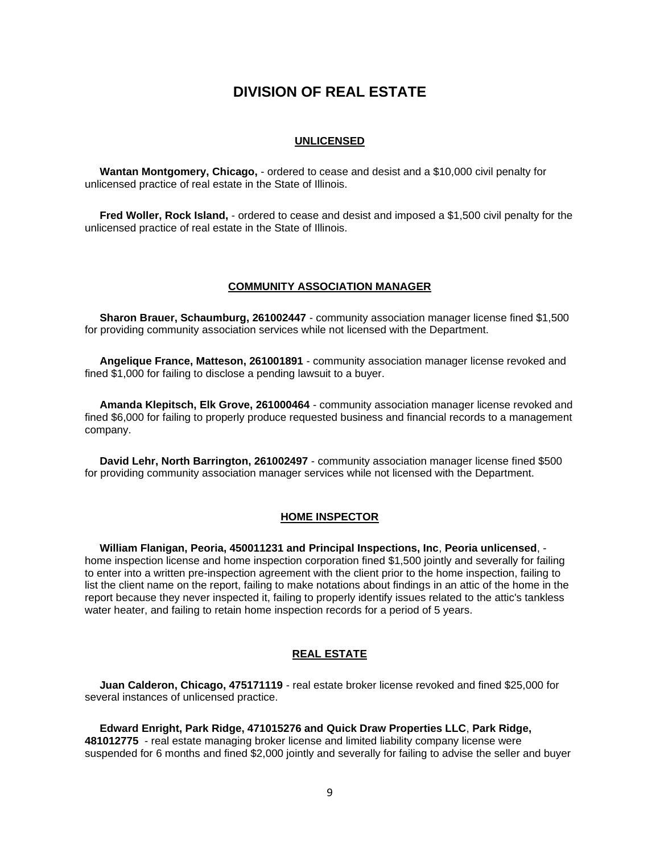# **DIVISION OF REAL ESTATE**

#### **UNLICENSED**

 **Wantan Montgomery, Chicago,** - ordered to cease and desist and a \$10,000 civil penalty for unlicensed practice of real estate in the State of Illinois.

 **Fred Woller, Rock Island,** - ordered to cease and desist and imposed a \$1,500 civil penalty for the unlicensed practice of real estate in the State of Illinois.

### **COMMUNITY ASSOCIATION MANAGER**

 **Sharon Brauer, Schaumburg, 261002447** - community association manager license fined \$1,500 for providing community association services while not licensed with the Department.

 **Angelique France, Matteson, 261001891** - community association manager license revoked and fined \$1,000 for failing to disclose a pending lawsuit to a buyer.

 **Amanda Klepitsch, Elk Grove, 261000464** - community association manager license revoked and fined \$6,000 for failing to properly produce requested business and financial records to a management company.

 **David Lehr, North Barrington, 261002497** - community association manager license fined \$500 for providing community association manager services while not licensed with the Department.

#### **HOME INSPECTOR**

 **William Flanigan, Peoria, 450011231 and Principal Inspections, Inc**, **Peoria unlicensed**, home inspection license and home inspection corporation fined \$1,500 jointly and severally for failing to enter into a written pre-inspection agreement with the client prior to the home inspection, failing to list the client name on the report, failing to make notations about findings in an attic of the home in the report because they never inspected it, failing to properly identify issues related to the attic's tankless water heater, and failing to retain home inspection records for a period of 5 years.

#### **REAL ESTATE**

 **Juan Calderon, Chicago, 475171119** - real estate broker license revoked and fined \$25,000 for several instances of unlicensed practice.

 **Edward Enright, Park Ridge, 471015276 and Quick Draw Properties LLC**, **Park Ridge, 481012775** - real estate managing broker license and limited liability company license were suspended for 6 months and fined \$2,000 jointly and severally for failing to advise the seller and buyer